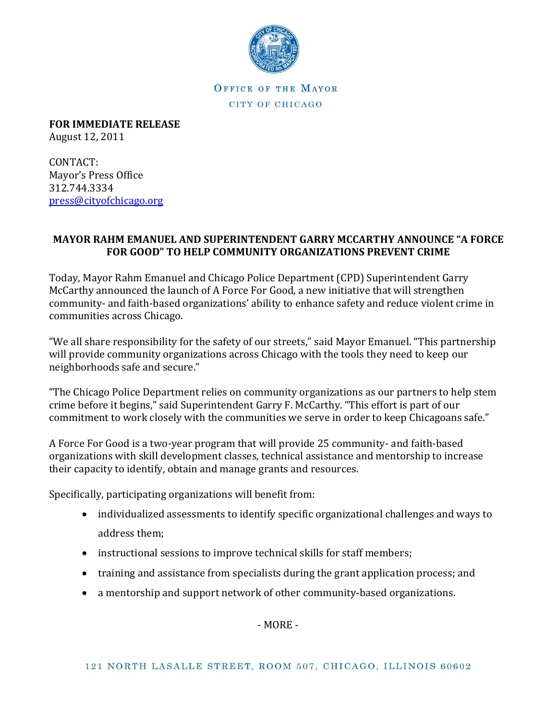

OFFICE OF THE MAYOR CITY OF CHICAGO

**FOR IMMEDIATE RELEASE**

August 12, 2011

CONTACT: Mayor's Press Office 312.744.3334 [press@cityofchicago.org](mailto:press@cityofchicago.org)

## **MAYOR RAHM EMANUEL AND SUPERINTENDENT GARRY MCCARTHY ANNOUNCE "A FORCE FOR GOOD" TO HELP COMMUNITY ORGANIZATIONS PREVENT CRIME**

Today, Mayor Rahm Emanuel and Chicago Police Department (CPD) Superintendent Garry McCarthy announced the launch of A Force For Good, a new initiative that will strengthen community- and faith-based organizations' ability to enhance safety and reduce violent crime in communities across Chicago.

"We all share responsibility for the safety of our streets," said Mayor Emanuel. "This partnership will provide community organizations across Chicago with the tools they need to keep our neighborhoods safe and secure."

"The Chicago Police Department relies on community organizations as our partners to help stem crime before it begins," said Superintendent Garry F. McCarthy. "This effort is part of our commitment to work closely with the communities we serve in order to keep Chicagoans safe."

A Force For Good is a two-year program that will provide 25 community- and faith-based organizations with skill development classes, technical assistance and mentorship to increase their capacity to identify, obtain and manage grants and resources.

Specifically, participating organizations will benefit from:

- individualized assessments to identify specific organizational challenges and ways to address them;
- instructional sessions to improve technical skills for staff members;
- training and assistance from specialists during the grant application process; and
- a mentorship and support network of other community-based organizations.

- MORE -